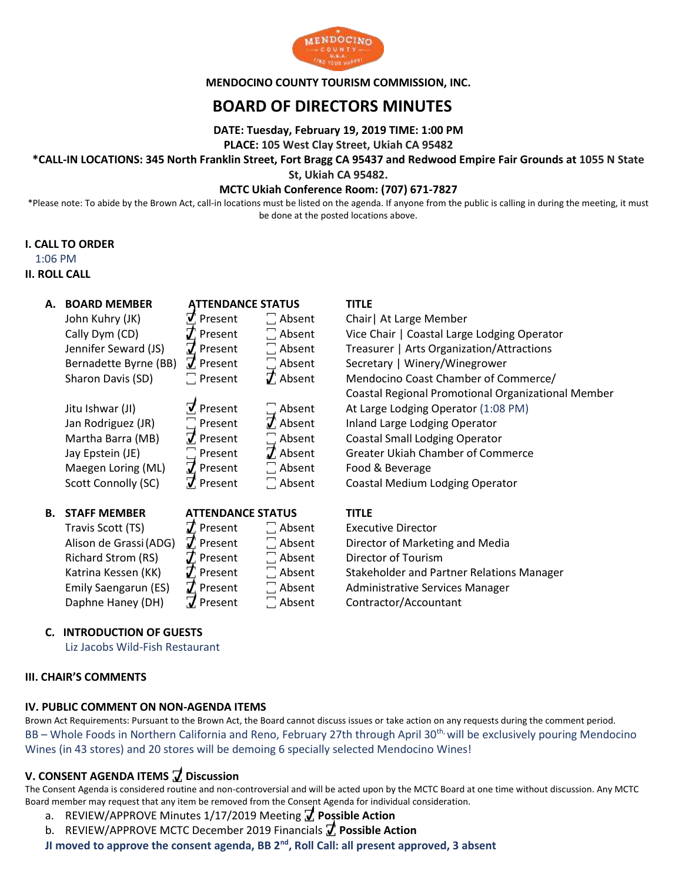

**MENDOCINO COUNTY TOURISM COMMISSION, INC.**

# **BOARD OF DIRECTORS MINUTES**

**DATE: Tuesday, February 19, 2019 TIME: 1:00 PM**

## **PLACE: 105 West Clay Street, Ukiah CA 95482**

## **\*CALL-IN LOCATIONS: 345 North Franklin Street, Fort Bragg CA 95437 and Redwood Empire Fair Grounds at 1055 N State**

**St, Ukiah CA 95482.**

## **MCTC Ukiah Conference Room: (707) 671-7827**

\*Please note: To abide by the Brown Act, call-in locations must be listed on the agenda. If anyone from the public is calling in during the meeting, it must be done at the posted locations above.

## **I. CALL TO ORDER**

### 1:06 PM

## **II. ROLL CALL**

| А. | <b>BOARD MEMBER</b><br>John Kuhry (JK)<br>Cally Dym (CD)<br>Jennifer Seward (JS)<br>Bernadette Byrne (BB)<br>Sharon Davis (SD)<br>Jitu Ishwar (JI)<br>Jan Rodriguez (JR)<br>Martha Barra (MB)<br>Jay Epstein (JE)<br>Maegen Loring (ML)<br>Scott Connolly (SC) | <b>ATTENDANCE STATUS</b><br>$\vec{v}$ Present<br>$\boldsymbol{J}$ Present<br>$\overline{J}$ Present<br>$\vec{J}$ Present<br>$\Box$ Present<br>$\sqrt{ }$ Present<br>$\Box$ Present<br>$\vec{J}$ Present<br>$\Box$ Present<br>$\vec{J}$ Present<br>$\vec{v}$ Present | $\Box$ Absent<br>$\Box$ Absent<br>$\Box$ Absent<br>$\Box$ Absent<br>$\mathcal{J}$ Absent<br>$\Box$ Absent<br>$\vec{J}$ Absent<br>$\Box$ Absent<br>$\vec{J}$ Absent<br>$\Box$ Absent<br>$\Box$ Absent | <b>TITLE</b><br>Chair   At Large Member<br>Vice Chair   Coastal Large Lodging Operator<br>Treasurer   Arts Organization/Attractions<br>Secretary   Winery/Winegrower<br>Mendocino Coast Chamber of Commerce/<br>Coastal Regional Promotional Organizational Member<br>At Large Lodging Operator (1:08 PM)<br>Inland Large Lodging Operator<br><b>Coastal Small Lodging Operator</b><br><b>Greater Ukiah Chamber of Commerce</b><br>Food & Beverage<br>Coastal Medium Lodging Operator |
|----|----------------------------------------------------------------------------------------------------------------------------------------------------------------------------------------------------------------------------------------------------------------|---------------------------------------------------------------------------------------------------------------------------------------------------------------------------------------------------------------------------------------------------------------------|------------------------------------------------------------------------------------------------------------------------------------------------------------------------------------------------------|---------------------------------------------------------------------------------------------------------------------------------------------------------------------------------------------------------------------------------------------------------------------------------------------------------------------------------------------------------------------------------------------------------------------------------------------------------------------------------------|
|    |                                                                                                                                                                                                                                                                |                                                                                                                                                                                                                                                                     |                                                                                                                                                                                                      |                                                                                                                                                                                                                                                                                                                                                                                                                                                                                       |
| В. | <b>STAFF MEMBER</b>                                                                                                                                                                                                                                            | <b>ATTENDANCE STATUS</b>                                                                                                                                                                                                                                            |                                                                                                                                                                                                      | <b>TITLE</b>                                                                                                                                                                                                                                                                                                                                                                                                                                                                          |
|    | Travis Scott (TS)                                                                                                                                                                                                                                              | $\boldsymbol{\mathcal{J}}$ Present                                                                                                                                                                                                                                  | $\Box$ Absent                                                                                                                                                                                        | <b>Executive Director</b>                                                                                                                                                                                                                                                                                                                                                                                                                                                             |
|    | Alison de Grassi (ADG)                                                                                                                                                                                                                                         | $\boldsymbol{J}$ Present                                                                                                                                                                                                                                            | $\Box$ Absent                                                                                                                                                                                        | Director of Marketing and Media                                                                                                                                                                                                                                                                                                                                                                                                                                                       |
|    | Richard Strom (RS)                                                                                                                                                                                                                                             | $\mathcal T$ Present                                                                                                                                                                                                                                                | $\Box$ Absent                                                                                                                                                                                        | Director of Tourism                                                                                                                                                                                                                                                                                                                                                                                                                                                                   |
|    | Katrina Kessen (KK)                                                                                                                                                                                                                                            | $\boldsymbol{J}$ Present                                                                                                                                                                                                                                            | $\Box$ Absent                                                                                                                                                                                        | <b>Stakeholder and Partner Relations Manager</b>                                                                                                                                                                                                                                                                                                                                                                                                                                      |
|    | Emily Saengarun (ES)                                                                                                                                                                                                                                           | $\boldsymbol{J}$ Present                                                                                                                                                                                                                                            | $\Box$ Absent                                                                                                                                                                                        | Administrative Services Manager                                                                                                                                                                                                                                                                                                                                                                                                                                                       |
|    | Daphne Haney (DH)                                                                                                                                                                                                                                              | $\nabla$ Present                                                                                                                                                                                                                                                    | $\Box$ Absent                                                                                                                                                                                        | Contractor/Accountant                                                                                                                                                                                                                                                                                                                                                                                                                                                                 |

## **C. INTRODUCTION OF GUESTS**

Liz Jacobs Wild-Fish Restaurant

## **III. CHAIR'S COMMENTS**

## **IV. PUBLIC COMMENT ON NON-AGENDA ITEMS**

Brown Act Requirements: Pursuant to the Brown Act, the Board cannot discuss issues or take action on any requests during the comment period. BB – Whole Foods in Northern California and Reno, February 27th through April 30<sup>th,</sup> will be exclusively pouring Mendocino Wines (in 43 stores) and 20 stores will be demoing 6 specially selected Mendocino Wines!

## **V. CONSENT AGENDA ITEMS ꙱ Discussion**

The Consent Agenda is considered routine and non-controversial and will be acted upon by the MCTC Board at one time without discussion. Any MCTC Board member may request that any item be removed from the Consent Agenda for individual consideration.

- a. REVIEW/APPROVE Minutes 1/17/2019 Meeting **꙱ Possible Action**
- b. REVIEW/APPROVE MCTC December 2019 Financials **꙱ Possible Action**

**JI moved to approve the consent agenda, BB 2nd, Roll Call: all present approved, 3 absent**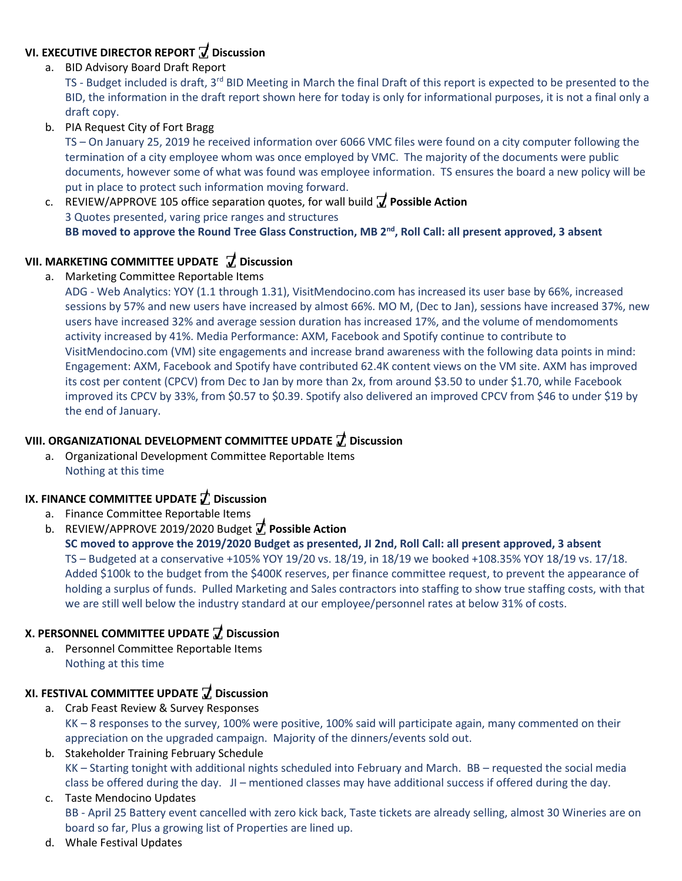#### **VI. EXECUTIVE DIRECTOR REPORT ꙱ Discussion ꙱**

a. BID Advisory Board Draft Report

TS - Budget included is draft, 3rd BID Meeting in March the final Draft of this report is expected to be presented to the **D** BID, the information in the draft report shown here for today is only for informational purposes, it is not a final only a **i** draft copy.

b. PIA Request City of Fort Bragg **c**

TS – On January 25, 2019 he received information over 6066 VMC files were found on a city computer following the **u** termination of a city employee whom was once employed by VMC. The majority of the documents were public **s** documents, however some of what was found was employee information. TS ensures the board a new policy will be **s** put in place to protect such information moving forward. **i**

c. REVIEW/APPROVE 105 office separation quotes, for wall build **꙱ Possible Action o** 3 Quotes presented, varing price ranges and structures **n**  BB moved to approve the Round Tree Glass Construction, MB 2<sup>nd</sup>, Roll Call: all present approved, 3 absent

#### **VII. MARKETING COMMITTEE UPDATE ꙱ Discussion P o**

a. Marketing Committee Reportable Items

ADG - Web Analytics: YOY (1.1 through 1.31), VisitMendocino.com has increased its user base by 66%, increased **s** sessions by 57% and new users have increased by almost 66%. MO M, (Dec to Jan), sessions have increased 37%, new **s** users have increased 32% and average session duration has increased 17%, and the volume of mendomoments **i** activity increased by 41%. Media Performance: AXM, Facebook and Spotify continue to contribute to **b** VisitMendocino.com (VM) site engagements and increase brand awareness with the following data points in mind: **l** Engagement: AXM, Facebook and Spotify have contributed 62.4K content views on the VM site. AXM has improved its cost per content (CPCV) from Dec to Jan by more than 2x, from around \$3.50 to under \$1.70, while Facebook **A** improved its CPCV by 33%, from \$0.57 to \$0.39. Spotify also delivered an improved CPCV from \$46 to under \$19 by **c** the end of January.

#### **VIII. ORGANIZATIONAL DEVELOPMENT COMMITTEE UPDATE ꙱ Discussion o**

a. Organizational Development Committee Reportable Items **n**Nothing at this time

## **IX. FINANCE COMMITTEE UPDATE ꙱ Discussion**

- a. Finance Committee Reportable Items
- b. REVIEW/APPROVE 2019/2020 Budget **꙱ Possible Action**

**SC moved to approve the 2019/2020 Budget as presented, JI 2nd, Roll Call: all present approved, 3 absent** TS – Budgeted at a conservative +105% YOY 19/20 vs. 18/19, in 18/19 we booked +108.35% YOY 18/19 vs. 17/18. Added \$100k to the budget from the \$400K reserves, per finance committee request, to prevent the appearance of holding a surplus of funds. Pulled Marketing and Sales contractors into staffing to show true staffing costs, with that we are still well below the industry standard at our employee/personnel rates at below 31% of costs.

## **X. PERSONNEL COMMITTEE UPDATE ꙱ Discussion**

a. Personnel Committee Reportable Items Nothing at this time

# **XI. FESTIVAL COMMITTEE UPDATE ꙱ Discussion**

- a. Crab Feast Review & Survey Responses KK – 8 responses to the survey, 100% were positive, 100% said will participate again, many commented on their appreciation on the upgraded campaign. Majority of the dinners/events sold out.
- b. Stakeholder Training February Schedule KK – Starting tonight with additional nights scheduled into February and March. BB – requested the social media class be offered during the day. JI – mentioned classes may have additional success if offered during the day.

## c. Taste Mendocino Updates BB - April 25 Battery event cancelled with zero kick back, Taste tickets are already selling, almost 30 Wineries are on board so far, Plus a growing list of Properties are lined up.

d. Whale Festival Updates